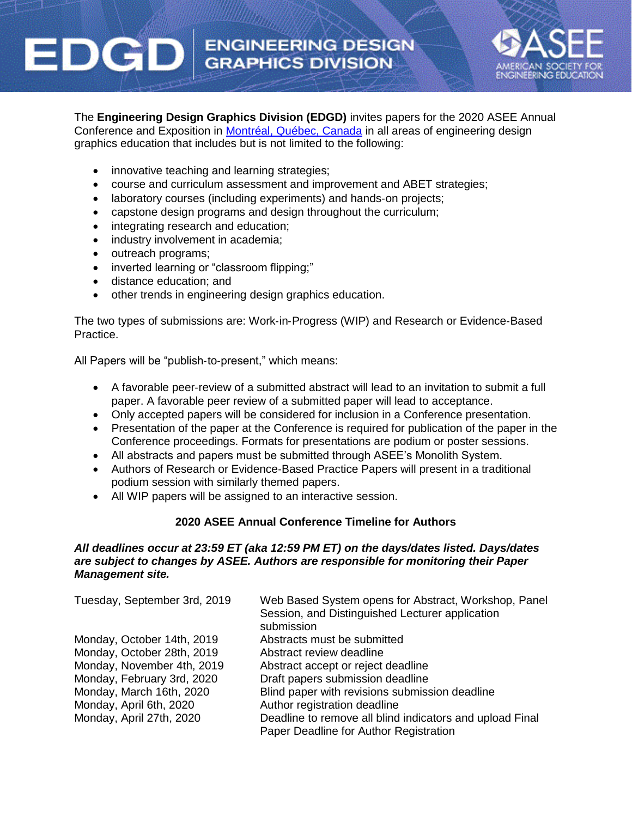# **ENGINEERING DESIGN GRAPHICS DIVISION**



The **Engineering Design Graphics Division (EDGD)** invites papers for the 2020 ASEE Annual Conference and Exposition in [Montréal, Québec, Canada](https://congresmtl.com/en/) in all areas of engineering design graphics education that includes but is not limited to the following:

- innovative teaching and learning strategies;
- course and curriculum assessment and improvement and ABET strategies;
- laboratory courses (including experiments) and hands-on projects;
- capstone design programs and design throughout the curriculum;
- integrating research and education;
- industry involvement in academia;
- outreach programs;

EDGI

- inverted learning or "classroom flipping;"
- distance education; and
- other trends in engineering design graphics education.

The two types of submissions are: Work‐in‐Progress (WIP) and Research or Evidence‐Based Practice.

All Papers will be "publish-to-present," which means:

- A favorable peer-review of a submitted abstract will lead to an invitation to submit a full paper. A favorable peer review of a submitted paper will lead to acceptance.
- Only accepted papers will be considered for inclusion in a Conference presentation.
- Presentation of the paper at the Conference is required for publication of the paper in the Conference proceedings. Formats for presentations are podium or poster sessions.
- All abstracts and papers must be submitted through ASEE's Monolith System.
- Authors of Research or Evidence‐Based Practice Papers will present in a traditional podium session with similarly themed papers.
- All WIP papers will be assigned to an interactive session.

## **2020 ASEE Annual Conference Timeline for Authors**

### *All deadlines occur at 23:59 ET (aka 12:59 PM ET) on the days/dates listed. Days/dates are subject to changes by ASEE. Authors are responsible for monitoring their Paper Management site.*

| Tuesday, September 3rd, 2019 | Web Based System opens for Abstract, Workshop, Panel<br>Session, and Distinguished Lecturer application<br>submission |
|------------------------------|-----------------------------------------------------------------------------------------------------------------------|
| Monday, October 14th, 2019   | Abstracts must be submitted                                                                                           |
| Monday, October 28th, 2019   | Abstract review deadline                                                                                              |
| Monday, November 4th, 2019   | Abstract accept or reject deadline                                                                                    |
| Monday, February 3rd, 2020   | Draft papers submission deadline                                                                                      |
| Monday, March 16th, 2020     | Blind paper with revisions submission deadline                                                                        |
| Monday, April 6th, 2020      | Author registration deadline                                                                                          |
| Monday, April 27th, 2020     | Deadline to remove all blind indicators and upload Final<br>Paper Deadline for Author Registration                    |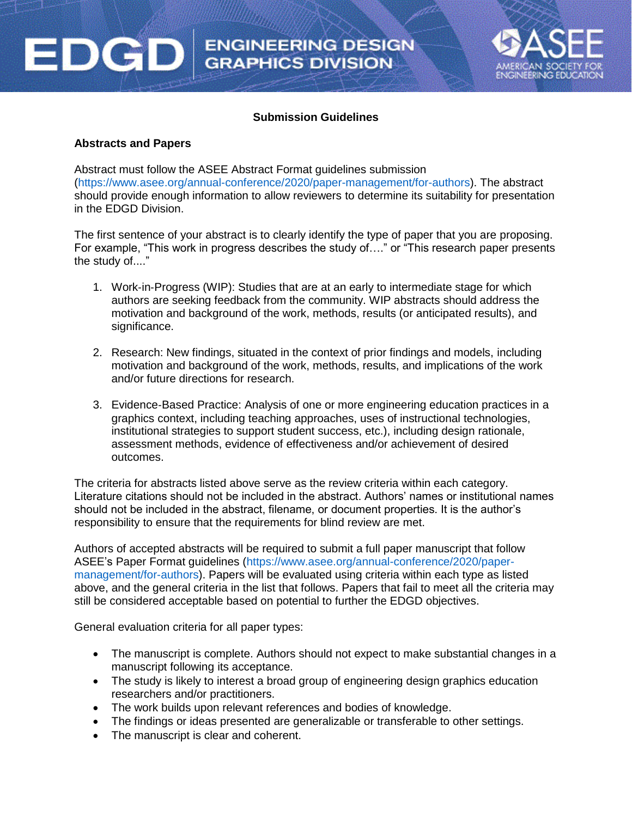

#### **Submission Guidelines**

#### **Abstracts and Papers**

EDGD

Abstract must follow the ASEE Abstract Format guidelines submission (https://www.asee.org/annual-conference/2020/paper-management/for-authors). The abstract should provide enough information to allow reviewers to determine its suitability for presentation in the EDGD Division.

The first sentence of your abstract is to clearly identify the type of paper that you are proposing. For example, "This work in progress describes the study of…." or "This research paper presents the study of...."

- 1. Work‐in‐Progress (WIP): Studies that are at an early to intermediate stage for which authors are seeking feedback from the community. WIP abstracts should address the motivation and background of the work, methods, results (or anticipated results), and significance.
- 2. Research: New findings, situated in the context of prior findings and models, including motivation and background of the work, methods, results, and implications of the work and/or future directions for research.
- 3. Evidence‐Based Practice: Analysis of one or more engineering education practices in a graphics context, including teaching approaches, uses of instructional technologies, institutional strategies to support student success, etc.), including design rationale, assessment methods, evidence of effectiveness and/or achievement of desired outcomes.

The criteria for abstracts listed above serve as the review criteria within each category. Literature citations should not be included in the abstract. Authors' names or institutional names should not be included in the abstract, filename, or document properties. It is the author's responsibility to ensure that the requirements for blind review are met.

Authors of accepted abstracts will be required to submit a full paper manuscript that follow ASEE's Paper Format guidelines (https://www.asee.org/annual-conference/2020/papermanagement/for-authors). Papers will be evaluated using criteria within each type as listed above, and the general criteria in the list that follows. Papers that fail to meet all the criteria may still be considered acceptable based on potential to further the EDGD objectives.

General evaluation criteria for all paper types:

- The manuscript is complete. Authors should not expect to make substantial changes in a manuscript following its acceptance.
- The study is likely to interest a broad group of engineering design graphics education researchers and/or practitioners.
- The work builds upon relevant references and bodies of knowledge.
- The findings or ideas presented are generalizable or transferable to other settings.
- The manuscript is clear and coherent.